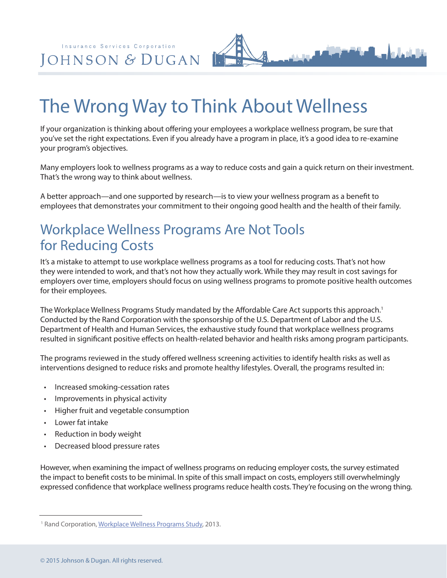Insurance Services Corporation JOHNSON & DUGAN

## The Wrong Way to Think About Wellness

If your organization is thinking about offering your employees a workplace wellness program, be sure that you've set the right expectations. Even if you already have a program in place, it's a good idea to re-examine your program's objectives.

Many employers look to wellness programs as a way to reduce costs and gain a quick return on their investment. That's the wrong way to think about wellness.

A better approach—and one supported by research—is to view your wellness program as a benefit to employees that demonstrates your commitment to their ongoing good health and the health of their family.

## Workplace Wellness Programs Are Not Tools for Reducing Costs

It's a mistake to attempt to use workplace wellness programs as a tool for reducing costs. That's not how they were intended to work, and that's not how they actually work. While they may result in cost savings for employers over time, employers should focus on using wellness programs to promote positive health outcomes for their employees.

The Workplace Wellness Programs Study mandated by the Affordable Care Act supports this approach.<sup>1</sup> Conducted by the Rand Corporation with the sponsorship of the U.S. Department of Labor and the U.S. Department of Health and Human Services, the exhaustive study found that workplace wellness programs resulted in significant positive effects on health-related behavior and health risks among program participants.

The programs reviewed in the study offered wellness screening activities to identify health risks as well as interventions designed to reduce risks and promote healthy lifestyles. Overall, the programs resulted in:

- Increased smoking-cessation rates
- Improvements in physical activity
- Higher fruit and vegetable consumption
- Lower fat intake
- Reduction in body weight
- Decreased blood pressure rates

However, when examining the impact of wellness programs on reducing employer costs, the survey estimated the impact to benefit costs to be minimal. In spite of this small impact on costs, employers still overwhelmingly expressed confidence that workplace wellness programs reduce health costs. They're focusing on the wrong thing.

<sup>&</sup>lt;sup>1</sup> Rand Corporation, [Workplace Wellness Programs Study](http://www.nexgenhce.com/images/RAND_Wellness_Study_-_May_2013.pdf), 2013.